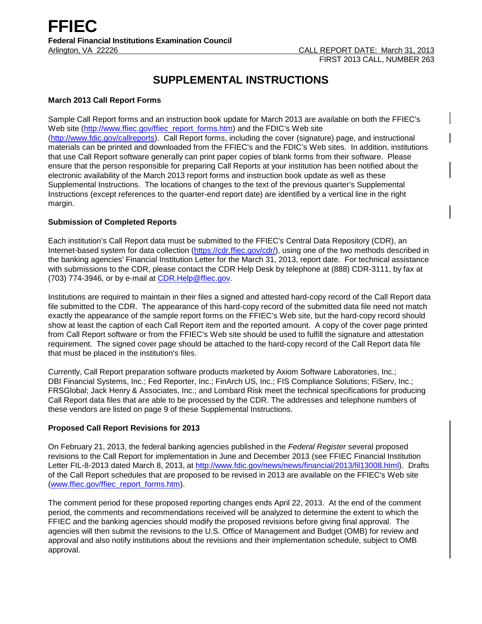# **SUPPLEMENTAL INSTRUCTIONS**

## **March 2013 Call Report Forms**

Sample Call Report forms and an instruction book update for March 2013 are available on both the FFIEC's Web site [\(http://www.ffiec.gov/ffiec\\_report\\_forms.htm\)](http://www.ffiec.gov/ffiec_report_forms.htm) and the FDIC's Web site [\(http://www.fdic.gov/callreports\)](http://www.fdic.gov/callreports). Call Report forms, including the cover (signature) page, and instructional materials can be printed and downloaded from the FFIEC's and the FDIC's Web sites. In addition, institutions that use Call Report software generally can print paper copies of blank forms from their software. Please ensure that the person responsible for preparing Call Reports at your institution has been notified about the electronic availability of the March 2013 report forms and instruction book update as well as these Supplemental Instructions. The locations of changes to the text of the previous quarter's Supplemental Instructions (except references to the quarter-end report date) are identified by a vertical line in the right margin.

# **Submission of Completed Reports**

Each institution's Call Report data must be submitted to the FFIEC's Central Data Repository (CDR), an Internet-based system for data collection [\(https://cdr.ffiec.gov/cdr/\)](https://cdr.ffiec.gov/cdr/), using one of the two methods described in the banking agencies' Financial Institution Letter for the March 31, 2013, report date. For technical assistance with submissions to the CDR, please contact the CDR Help Desk by telephone at (888) CDR-3111, by fax at (703) 774-3946, or by e-mail at CDR.Help@ffiec.gov.

Institutions are required to maintain in their files a signed and attested hard-copy record of the Call Report data file submitted to the CDR. The appearance of this hard-copy record of the submitted data file need not match exactly the appearance of the sample report forms on the FFIEC's Web site, but the hard-copy record should show at least the caption of each Call Report item and the reported amount. A copy of the cover page printed from Call Report software or from the FFIEC's Web site should be used to fulfill the signature and attestation requirement. The signed cover page should be attached to the hard-copy record of the Call Report data file that must be placed in the institution's files.

Currently, Call Report preparation software products marketed by Axiom Software Laboratories, Inc.; DBI Financial Systems, Inc.; Fed Reporter, Inc.; FinArch US, Inc.; FIS Compliance Solutions; FiServ, Inc.; FRSGlobal; Jack Henry & Associates, Inc.; and Lombard Risk meet the technical specifications for producing Call Report data files that are able to be processed by the CDR. The addresses and telephone numbers of these vendors are listed on page 9 of these Supplemental Instructions.

## **Proposed Call Report Revisions for 2013**

On February 21, 2013, the federal banking agencies published in the *Federal Register* several proposed revisions to the Call Report for implementation in June and December 2013 (see FFIEC Financial Institution Letter FIL-8-2013 dated March 8, 2013, at [http://www.fdic.gov/news/news/financial/2013/fil13008.html\)](http://www.fdic.gov/news/news/financial/2013/fil13008.html). Drafts of the Call Report schedules that are proposed to be revised in 2013 are available on the FFIEC's Web site [\(www.ffiec.gov/ffiec\\_report\\_forms.htm\)](http://www.ffiec.gov/ffiec_report_forms.htm).

The comment period for these proposed reporting changes ends April 22, 2013. At the end of the comment period, the comments and recommendations received will be analyzed to determine the extent to which the FFIEC and the banking agencies should modify the proposed revisions before giving final approval. The agencies will then submit the revisions to the U.S. Office of Management and Budget (OMB) for review and approval and also notify institutions about the revisions and their implementation schedule, subject to OMB approval.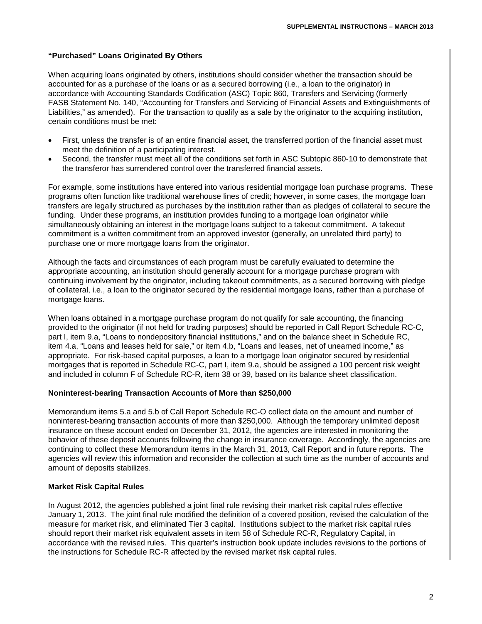# **"Purchased" Loans Originated By Others**

When acquiring loans originated by others, institutions should consider whether the transaction should be accounted for as a purchase of the loans or as a secured borrowing (i.e., a loan to the originator) in accordance with Accounting Standards Codification (ASC) Topic 860, Transfers and Servicing (formerly FASB Statement No. 140, "Accounting for Transfers and Servicing of Financial Assets and Extinguishments of Liabilities," as amended). For the transaction to qualify as a sale by the originator to the acquiring institution, certain conditions must be met:

- First, unless the transfer is of an entire financial asset, the transferred portion of the financial asset must meet the definition of a participating interest.
- Second, the transfer must meet all of the conditions set forth in ASC Subtopic 860-10 to demonstrate that the transferor has surrendered control over the transferred financial assets.

For example, some institutions have entered into various residential mortgage loan purchase programs. These programs often function like traditional warehouse lines of credit; however, in some cases, the mortgage loan transfers are legally structured as purchases by the institution rather than as pledges of collateral to secure the funding. Under these programs, an institution provides funding to a mortgage loan originator while simultaneously obtaining an interest in the mortgage loans subject to a takeout commitment. A takeout commitment is a written commitment from an approved investor (generally, an unrelated third party) to purchase one or more mortgage loans from the originator.

Although the facts and circumstances of each program must be carefully evaluated to determine the appropriate accounting, an institution should generally account for a mortgage purchase program with continuing involvement by the originator, including takeout commitments, as a secured borrowing with pledge of collateral, i.e., a loan to the originator secured by the residential mortgage loans, rather than a purchase of mortgage loans.

When loans obtained in a mortgage purchase program do not qualify for sale accounting, the financing provided to the originator (if not held for trading purposes) should be reported in Call Report Schedule RC-C, part I, item 9.a, "Loans to nondepository financial institutions," and on the balance sheet in Schedule RC, item 4.a, "Loans and leases held for sale," or item 4.b, "Loans and leases, net of unearned income," as appropriate. For risk-based capital purposes, a loan to a mortgage loan originator secured by residential mortgages that is reported in Schedule RC-C, part I, item 9.a, should be assigned a 100 percent risk weight and included in column F of Schedule RC-R, item 38 or 39, based on its balance sheet classification.

## **Noninterest-bearing Transaction Accounts of More than \$250,000**

Memorandum items 5.a and 5.b of Call Report Schedule RC-O collect data on the amount and number of noninterest-bearing transaction accounts of more than \$250,000. Although the temporary unlimited deposit insurance on these account ended on December 31, 2012, the agencies are interested in monitoring the behavior of these deposit accounts following the change in insurance coverage. Accordingly, the agencies are continuing to collect these Memorandum items in the March 31, 2013, Call Report and in future reports. The agencies will review this information and reconsider the collection at such time as the number of accounts and amount of deposits stabilizes.

## **Market Risk Capital Rules**

In August 2012, the agencies published a joint final rule revising their market risk capital rules effective January 1, 2013. The joint final rule modified the definition of a covered position, revised the calculation of the measure for market risk, and eliminated Tier 3 capital. Institutions subject to the market risk capital rules should report their market risk equivalent assets in item 58 of Schedule RC-R, Regulatory Capital, in accordance with the revised rules. This quarter's instruction book update includes revisions to the portions of the instructions for Schedule RC-R affected by the revised market risk capital rules.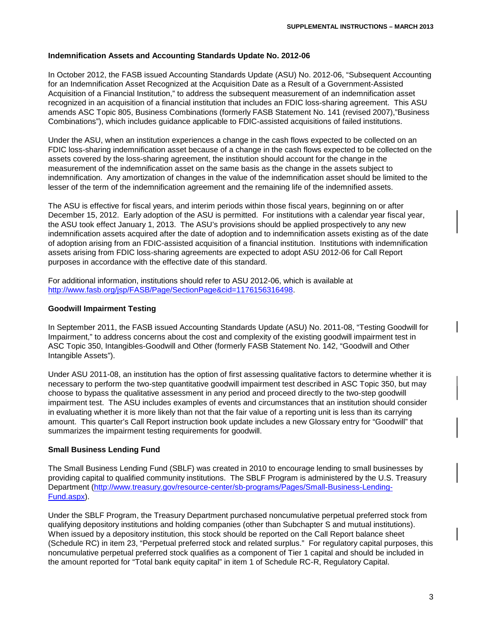#### **Indemnification Assets and Accounting Standards Update No. 2012-06**

In October 2012, the FASB issued Accounting Standards Update (ASU) No. 2012-06, "Subsequent Accounting for an Indemnification Asset Recognized at the Acquisition Date as a Result of a Government-Assisted Acquisition of a Financial Institution," to address the subsequent measurement of an indemnification asset recognized in an acquisition of a financial institution that includes an FDIC loss-sharing agreement. This ASU amends ASC Topic 805, Business Combinations (formerly FASB Statement No. 141 (revised 2007),"Business Combinations"), which includes guidance applicable to FDIC-assisted acquisitions of failed institutions.

Under the ASU, when an institution experiences a change in the cash flows expected to be collected on an FDIC loss-sharing indemnification asset because of a change in the cash flows expected to be collected on the assets covered by the loss-sharing agreement, the institution should account for the change in the measurement of the indemnification asset on the same basis as the change in the assets subject to indemnification. Any amortization of changes in the value of the indemnification asset should be limited to the lesser of the term of the indemnification agreement and the remaining life of the indemnified assets.

The ASU is effective for fiscal years, and interim periods within those fiscal years, beginning on or after December 15, 2012. Early adoption of the ASU is permitted. For institutions with a calendar year fiscal year, the ASU took effect January 1, 2013. The ASU's provisions should be applied prospectively to any new indemnification assets acquired after the date of adoption and to indemnification assets existing as of the date of adoption arising from an FDIC-assisted acquisition of a financial institution. Institutions with indemnification assets arising from FDIC loss-sharing agreements are expected to adopt ASU 2012-06 for Call Report purposes in accordance with the effective date of this standard.

For additional information, institutions should refer to ASU 2012-06, which is available at [http://www.fasb.org/jsp/FASB/Page/SectionPage&cid=1176156316498.](http://www.fasb.org/jsp/FASB/Page/SectionPage&cid=1176156316498)

#### **Goodwill Impairment Testing**

In September 2011, the FASB issued Accounting Standards Update (ASU) No. 2011-08, "Testing Goodwill for Impairment," to address concerns about the cost and complexity of the existing goodwill impairment test in ASC Topic 350, Intangibles-Goodwill and Other (formerly FASB Statement No. 142, "Goodwill and Other Intangible Assets").

Under ASU 2011-08, an institution has the option of first assessing qualitative factors to determine whether it is necessary to perform the two-step quantitative goodwill impairment test described in ASC Topic 350, but may choose to bypass the qualitative assessment in any period and proceed directly to the two-step goodwill impairment test. The ASU includes examples of events and circumstances that an institution should consider in evaluating whether it is more likely than not that the fair value of a reporting unit is less than its carrying amount. This quarter's Call Report instruction book update includes a new Glossary entry for "Goodwill" that summarizes the impairment testing requirements for goodwill.

#### **Small Business Lending Fund**

The Small Business Lending Fund (SBLF) was created in 2010 to encourage lending to small businesses by providing capital to qualified community institutions. The SBLF Program is administered by the U.S. Treasury Department [\(http://www.treasury.gov/resource-center/sb-programs/Pages/Small-Business-Lending-](http://www.treasury.gov/resource-center/sb-programs/Pages/Small-Business-Lending-Fund.aspx)[Fund.aspx\)](http://www.treasury.gov/resource-center/sb-programs/Pages/Small-Business-Lending-Fund.aspx).

Under the SBLF Program, the Treasury Department purchased noncumulative perpetual preferred stock from qualifying depository institutions and holding companies (other than Subchapter S and mutual institutions). When issued by a depository institution, this stock should be reported on the Call Report balance sheet (Schedule RC) in item 23, "Perpetual preferred stock and related surplus." For regulatory capital purposes, this noncumulative perpetual preferred stock qualifies as a component of Tier 1 capital and should be included in the amount reported for "Total bank equity capital" in item 1 of Schedule RC-R, Regulatory Capital.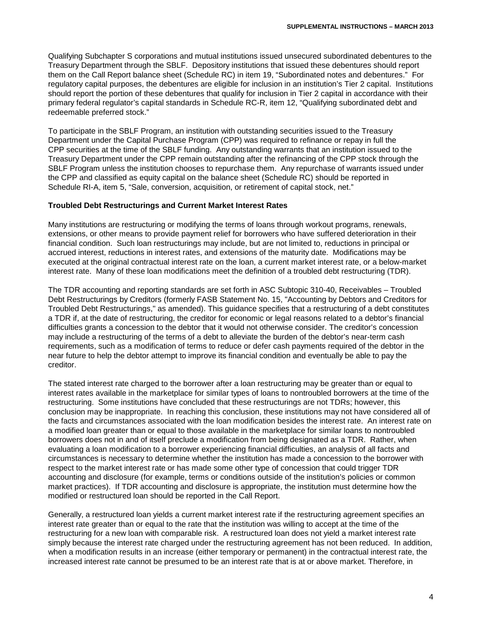Qualifying Subchapter S corporations and mutual institutions issued unsecured subordinated debentures to the Treasury Department through the SBLF. Depository institutions that issued these debentures should report them on the Call Report balance sheet (Schedule RC) in item 19, "Subordinated notes and debentures." For regulatory capital purposes, the debentures are eligible for inclusion in an institution's Tier 2 capital. Institutions should report the portion of these debentures that qualify for inclusion in Tier 2 capital in accordance with their primary federal regulator's capital standards in Schedule RC-R, item 12, "Qualifying subordinated debt and redeemable preferred stock."

To participate in the SBLF Program, an institution with outstanding securities issued to the Treasury Department under the Capital Purchase Program (CPP) was required to refinance or repay in full the CPP securities at the time of the SBLF funding. Any outstanding warrants that an institution issued to the Treasury Department under the CPP remain outstanding after the refinancing of the CPP stock through the SBLF Program unless the institution chooses to repurchase them. Any repurchase of warrants issued under the CPP and classified as equity capital on the balance sheet (Schedule RC) should be reported in Schedule RI-A, item 5, "Sale, conversion, acquisition, or retirement of capital stock, net."

#### **Troubled Debt Restructurings and Current Market Interest Rates**

Many institutions are restructuring or modifying the terms of loans through workout programs, renewals, extensions, or other means to provide payment relief for borrowers who have suffered deterioration in their financial condition. Such loan restructurings may include, but are not limited to, reductions in principal or accrued interest, reductions in interest rates, and extensions of the maturity date. Modifications may be executed at the original contractual interest rate on the loan, a current market interest rate, or a below-market interest rate. Many of these loan modifications meet the definition of a troubled debt restructuring (TDR).

The TDR accounting and reporting standards are set forth in ASC Subtopic 310-40, Receivables – Troubled Debt Restructurings by Creditors (formerly FASB Statement No. 15, "Accounting by Debtors and Creditors for Troubled Debt Restructurings," as amended). This guidance specifies that a restructuring of a debt constitutes a TDR if, at the date of restructuring, the creditor for economic or legal reasons related to a debtor's financial difficulties grants a concession to the debtor that it would not otherwise consider. The creditor's concession may include a restructuring of the terms of a debt to alleviate the burden of the debtor's near-term cash requirements, such as a modification of terms to reduce or defer cash payments required of the debtor in the near future to help the debtor attempt to improve its financial condition and eventually be able to pay the creditor.

The stated interest rate charged to the borrower after a loan restructuring may be greater than or equal to interest rates available in the marketplace for similar types of loans to nontroubled borrowers at the time of the restructuring. Some institutions have concluded that these restructurings are not TDRs; however, this conclusion may be inappropriate. In reaching this conclusion, these institutions may not have considered all of the facts and circumstances associated with the loan modification besides the interest rate. An interest rate on a modified loan greater than or equal to those available in the marketplace for similar loans to nontroubled borrowers does not in and of itself preclude a modification from being designated as a TDR. Rather, when evaluating a loan modification to a borrower experiencing financial difficulties, an analysis of all facts and circumstances is necessary to determine whether the institution has made a concession to the borrower with respect to the market interest rate or has made some other type of concession that could trigger TDR accounting and disclosure (for example, terms or conditions outside of the institution's policies or common market practices). If TDR accounting and disclosure is appropriate, the institution must determine how the modified or restructured loan should be reported in the Call Report.

Generally, a restructured loan yields a current market interest rate if the restructuring agreement specifies an interest rate greater than or equal to the rate that the institution was willing to accept at the time of the restructuring for a new loan with comparable risk. A restructured loan does not yield a market interest rate simply because the interest rate charged under the restructuring agreement has not been reduced. In addition, when a modification results in an increase (either temporary or permanent) in the contractual interest rate, the increased interest rate cannot be presumed to be an interest rate that is at or above market. Therefore, in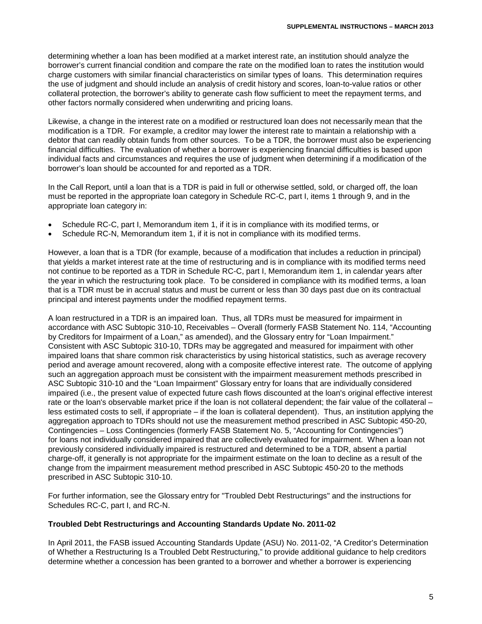determining whether a loan has been modified at a market interest rate, an institution should analyze the borrower's current financial condition and compare the rate on the modified loan to rates the institution would charge customers with similar financial characteristics on similar types of loans. This determination requires the use of judgment and should include an analysis of credit history and scores, loan-to-value ratios or other collateral protection, the borrower's ability to generate cash flow sufficient to meet the repayment terms, and other factors normally considered when underwriting and pricing loans.

Likewise, a change in the interest rate on a modified or restructured loan does not necessarily mean that the modification is a TDR. For example, a creditor may lower the interest rate to maintain a relationship with a debtor that can readily obtain funds from other sources. To be a TDR, the borrower must also be experiencing financial difficulties. The evaluation of whether a borrower is experiencing financial difficulties is based upon individual facts and circumstances and requires the use of judgment when determining if a modification of the borrower's loan should be accounted for and reported as a TDR.

In the Call Report, until a loan that is a TDR is paid in full or otherwise settled, sold, or charged off, the loan must be reported in the appropriate loan category in Schedule RC-C, part I, items 1 through 9, and in the appropriate loan category in:

- Schedule RC-C, part I, Memorandum item 1, if it is in compliance with its modified terms, or
- Schedule RC-N, Memorandum item 1, if it is not in compliance with its modified terms.

However, a loan that is a TDR (for example, because of a modification that includes a reduction in principal) that yields a market interest rate at the time of restructuring and is in compliance with its modified terms need not continue to be reported as a TDR in Schedule RC-C, part I, Memorandum item 1, in calendar years after the year in which the restructuring took place. To be considered in compliance with its modified terms, a loan that is a TDR must be in accrual status and must be current or less than 30 days past due on its contractual principal and interest payments under the modified repayment terms.

A loan restructured in a TDR is an impaired loan. Thus, all TDRs must be measured for impairment in accordance with ASC Subtopic 310-10, Receivables – Overall (formerly FASB Statement No. 114, "Accounting by Creditors for Impairment of a Loan," as amended), and the Glossary entry for "Loan Impairment." Consistent with ASC Subtopic 310-10, TDRs may be aggregated and measured for impairment with other impaired loans that share common risk characteristics by using historical statistics, such as average recovery period and average amount recovered, along with a composite effective interest rate. The outcome of applying such an aggregation approach must be consistent with the impairment measurement methods prescribed in ASC Subtopic 310-10 and the "Loan Impairment" Glossary entry for loans that are individually considered impaired (i.e., the present value of expected future cash flows discounted at the loan's original effective interest rate or the loan's observable market price if the loan is not collateral dependent; the fair value of the collateral – less estimated costs to sell, if appropriate – if the loan is collateral dependent). Thus, an institution applying the aggregation approach to TDRs should not use the measurement method prescribed in ASC Subtopic 450-20, Contingencies – Loss Contingencies (formerly FASB Statement No. 5, "Accounting for Contingencies") for loans not individually considered impaired that are collectively evaluated for impairment. When a loan not previously considered individually impaired is restructured and determined to be a TDR, absent a partial charge-off, it generally is not appropriate for the impairment estimate on the loan to decline as a result of the change from the impairment measurement method prescribed in ASC Subtopic 450-20 to the methods prescribed in ASC Subtopic 310-10.

For further information, see the Glossary entry for "Troubled Debt Restructurings" and the instructions for Schedules RC-C, part I, and RC-N.

## **Troubled Debt Restructurings and Accounting Standards Update No. 2011-02**

In April 2011, the FASB issued Accounting Standards Update (ASU) No. 2011-02, "A Creditor's Determination of Whether a Restructuring Is a Troubled Debt Restructuring," to provide additional guidance to help creditors determine whether a concession has been granted to a borrower and whether a borrower is experiencing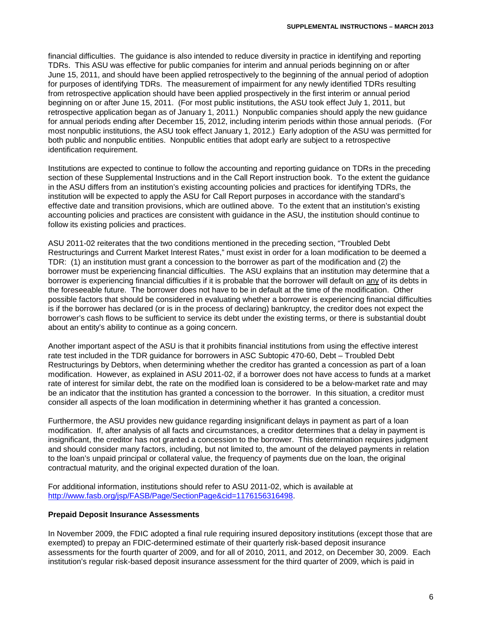financial difficulties. The guidance is also intended to reduce diversity in practice in identifying and reporting TDRs. This ASU was effective for public companies for interim and annual periods beginning on or after June 15, 2011, and should have been applied retrospectively to the beginning of the annual period of adoption for purposes of identifying TDRs. The measurement of impairment for any newly identified TDRs resulting from retrospective application should have been applied prospectively in the first interim or annual period beginning on or after June 15, 2011. (For most public institutions, the ASU took effect July 1, 2011, but retrospective application began as of January 1, 2011.) Nonpublic companies should apply the new guidance for annual periods ending after December 15, 2012, including interim periods within those annual periods. (For most nonpublic institutions, the ASU took effect January 1, 2012.) Early adoption of the ASU was permitted for both public and nonpublic entities. Nonpublic entities that adopt early are subject to a retrospective identification requirement.

Institutions are expected to continue to follow the accounting and reporting guidance on TDRs in the preceding section of these Supplemental Instructions and in the Call Report instruction book. To the extent the guidance in the ASU differs from an institution's existing accounting policies and practices for identifying TDRs, the institution will be expected to apply the ASU for Call Report purposes in accordance with the standard's effective date and transition provisions, which are outlined above. To the extent that an institution's existing accounting policies and practices are consistent with guidance in the ASU, the institution should continue to follow its existing policies and practices.

ASU 2011-02 reiterates that the two conditions mentioned in the preceding section, "Troubled Debt Restructurings and Current Market Interest Rates," must exist in order for a loan modification to be deemed a TDR: (1) an institution must grant a concession to the borrower as part of the modification and (2) the borrower must be experiencing financial difficulties. The ASU explains that an institution may determine that a borrower is experiencing financial difficulties if it is probable that the borrower will default on any of its debts in the foreseeable future. The borrower does not have to be in default at the time of the modification. Other possible factors that should be considered in evaluating whether a borrower is experiencing financial difficulties is if the borrower has declared (or is in the process of declaring) bankruptcy, the creditor does not expect the borrower's cash flows to be sufficient to service its debt under the existing terms, or there is substantial doubt about an entity's ability to continue as a going concern.

Another important aspect of the ASU is that it prohibits financial institutions from using the effective interest rate test included in the TDR guidance for borrowers in ASC Subtopic 470-60, Debt – Troubled Debt Restructurings by Debtors, when determining whether the creditor has granted a concession as part of a loan modification. However, as explained in ASU 2011-02, if a borrower does not have access to funds at a market rate of interest for similar debt, the rate on the modified loan is considered to be a below-market rate and may be an indicator that the institution has granted a concession to the borrower. In this situation, a creditor must consider all aspects of the loan modification in determining whether it has granted a concession.

Furthermore, the ASU provides new guidance regarding insignificant delays in payment as part of a loan modification. If, after analysis of all facts and circumstances, a creditor determines that a delay in payment is insignificant, the creditor has not granted a concession to the borrower. This determination requires judgment and should consider many factors, including, but not limited to, the amount of the delayed payments in relation to the loan's unpaid principal or collateral value, the frequency of payments due on the loan, the original contractual maturity, and the original expected duration of the loan.

For additional information, institutions should refer to ASU 2011-02, which is available at [http://www.fasb.org/jsp/FASB/Page/SectionPage&cid=1176156316498.](http://www.fasb.org/jsp/FASB/Page/SectionPage&cid=1176156316498)

#### **Prepaid Deposit Insurance Assessments**

In November 2009, the FDIC adopted a final rule requiring insured depository institutions (except those that are exempted) to prepay an FDIC-determined estimate of their quarterly risk-based deposit insurance assessments for the fourth quarter of 2009, and for all of 2010, 2011, and 2012, on December 30, 2009. Each institution's regular risk-based deposit insurance assessment for the third quarter of 2009, which is paid in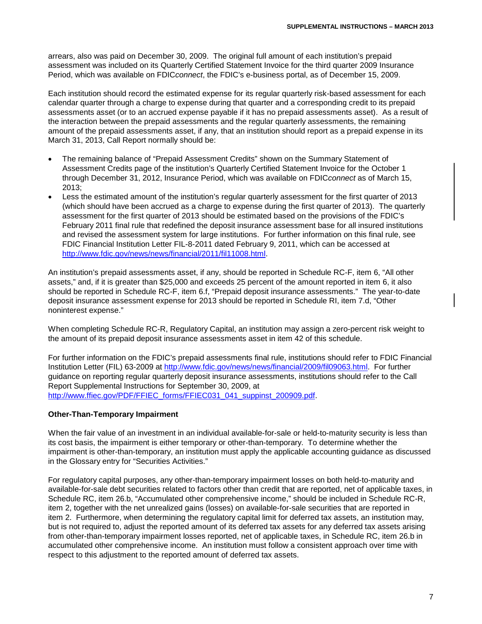arrears, also was paid on December 30, 2009. The original full amount of each institution's prepaid assessment was included on its Quarterly Certified Statement Invoice for the third quarter 2009 Insurance Period, which was available on FDIC*connect*, the FDIC's e-business portal, as of December 15, 2009.

Each institution should record the estimated expense for its regular quarterly risk-based assessment for each calendar quarter through a charge to expense during that quarter and a corresponding credit to its prepaid assessments asset (or to an accrued expense payable if it has no prepaid assessments asset). As a result of the interaction between the prepaid assessments and the regular quarterly assessments, the remaining amount of the prepaid assessments asset, if any, that an institution should report as a prepaid expense in its March 31, 2013, Call Report normally should be:

- The remaining balance of "Prepaid Assessment Credits" shown on the Summary Statement of Assessment Credits page of the institution's Quarterly Certified Statement Invoice for the October 1 through December 31, 2012, Insurance Period, which was available on FDIC*connect* as of March 15, 2013;
- Less the estimated amount of the institution's regular quarterly assessment for the first quarter of 2013 (which should have been accrued as a charge to expense during the first quarter of 2013). The quarterly assessment for the first quarter of 2013 should be estimated based on the provisions of the FDIC's February 2011 final rule that redefined the deposit insurance assessment base for all insured institutions and revised the assessment system for large institutions. For further information on this final rule, see FDIC Financial Institution Letter FIL-8-2011 dated February 9, 2011, which can be accessed at [http://www.fdic.gov/news/news/financial/2011/fil11008.html.](http://www.fdic.gov/news/news/financial/2011/fil11008.html)

An institution's prepaid assessments asset, if any, should be reported in Schedule RC-F, item 6, "All other assets," and, if it is greater than \$25,000 and exceeds 25 percent of the amount reported in item 6, it also should be reported in Schedule RC-F, item 6.f, "Prepaid deposit insurance assessments." The year-to-date deposit insurance assessment expense for 2013 should be reported in Schedule RI, item 7.d, "Other noninterest expense."

When completing Schedule RC-R, Regulatory Capital, an institution may assign a zero-percent risk weight to the amount of its prepaid deposit insurance assessments asset in item 42 of this schedule.

For further information on the FDIC's prepaid assessments final rule, institutions should refer to FDIC Financial Institution Letter (FIL) 63-2009 at [http://www.fdic.gov/news/news/financial/2009/fil09063.html.](http://www.fdic.gov/news/news/financial/2009/fil09063.html) For further guidance on reporting regular quarterly deposit insurance assessments, institutions should refer to the Call Report Supplemental Instructions for September 30, 2009, at [http://www.ffiec.gov/PDF/FFIEC\\_forms/FFIEC031\\_041\\_suppinst\\_200909.pdf.](http://www.ffiec.gov/PDF/FFIEC_forms/FFIEC031_041_suppinst_200909.pdf)

## **Other-Than-Temporary Impairment**

When the fair value of an investment in an individual available-for-sale or held-to-maturity security is less than its cost basis, the impairment is either temporary or other-than-temporary. To determine whether the impairment is other-than-temporary, an institution must apply the applicable accounting guidance as discussed in the Glossary entry for "Securities Activities."

For regulatory capital purposes, any other-than-temporary impairment losses on both held-to-maturity and available-for-sale debt securities related to factors other than credit that are reported, net of applicable taxes, in Schedule RC, item 26.b, "Accumulated other comprehensive income," should be included in Schedule RC-R, item 2, together with the net unrealized gains (losses) on available-for-sale securities that are reported in item 2. Furthermore, when determining the regulatory capital limit for deferred tax assets, an institution may, but is not required to, adjust the reported amount of its deferred tax assets for any deferred tax assets arising from other-than-temporary impairment losses reported, net of applicable taxes, in Schedule RC, item 26.b in accumulated other comprehensive income. An institution must follow a consistent approach over time with respect to this adjustment to the reported amount of deferred tax assets.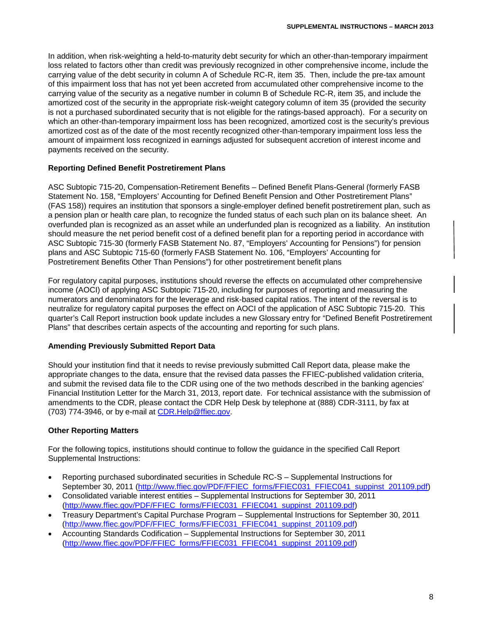In addition, when risk-weighting a held-to-maturity debt security for which an other-than-temporary impairment loss related to factors other than credit was previously recognized in other comprehensive income, include the carrying value of the debt security in column A of Schedule RC-R, item 35. Then, include the pre-tax amount of this impairment loss that has not yet been accreted from accumulated other comprehensive income to the carrying value of the security as a negative number in column B of Schedule RC-R, item 35, and include the amortized cost of the security in the appropriate risk-weight category column of item 35 (provided the security is not a purchased subordinated security that is not eligible for the ratings-based approach). For a security on which an other-than-temporary impairment loss has been recognized, amortized cost is the security's previous amortized cost as of the date of the most recently recognized other-than-temporary impairment loss less the amount of impairment loss recognized in earnings adjusted for subsequent accretion of interest income and payments received on the security.

## **Reporting Defined Benefit Postretirement Plans**

ASC Subtopic 715-20, Compensation-Retirement Benefits – Defined Benefit Plans-General (formerly FASB Statement No. 158, "Employers' Accounting for Defined Benefit Pension and Other Postretirement Plans" (FAS 158)) requires an institution that sponsors a single-employer defined benefit postretirement plan, such as a pension plan or health care plan, to recognize the funded status of each such plan on its balance sheet. An overfunded plan is recognized as an asset while an underfunded plan is recognized as a liability. An institution should measure the net period benefit cost of a defined benefit plan for a reporting period in accordance with ASC Subtopic 715-30 (formerly FASB Statement No. 87, "Employers' Accounting for Pensions") for pension plans and ASC Subtopic 715-60 (formerly FASB Statement No. 106, "Employers' Accounting for Postretirement Benefits Other Than Pensions") for other postretirement benefit plans

For regulatory capital purposes, institutions should reverse the effects on accumulated other comprehensive income (AOCI) of applying ASC Subtopic 715-20, including for purposes of reporting and measuring the numerators and denominators for the leverage and risk-based capital ratios. The intent of the reversal is to neutralize for regulatory capital purposes the effect on AOCI of the application of ASC Subtopic 715-20. This quarter's Call Report instruction book update includes a new Glossary entry for "Defined Benefit Postretirement Plans" that describes certain aspects of the accounting and reporting for such plans.

#### **Amending Previously Submitted Report Data**

Should your institution find that it needs to revise previously submitted Call Report data, please make the appropriate changes to the data, ensure that the revised data passes the FFIEC-published validation criteria, and submit the revised data file to the CDR using one of the two methods described in the banking agencies' Financial Institution Letter for the March 31, 2013, report date. For technical assistance with the submission of amendments to the CDR, please contact the CDR Help Desk by telephone at (888) CDR-3111, by fax at (703) 774-3946, or by e-mail at CDR.Help@ffiec.gov.

## **Other Reporting Matters**

For the following topics, institutions should continue to follow the guidance in the specified Call Report Supplemental Instructions:

- Reporting purchased subordinated securities in Schedule RC-S Supplemental Instructions for September 30, 2011 [\(http://www.ffiec.gov/PDF/FFIEC\\_forms/FFIEC031\\_FFIEC041\\_suppinst\\_201109.pdf\)](http://www.ffiec.gov/PDF/FFIEC_forms/FFIEC031_FFIEC041_suppinst_201109.pdf)
- Consolidated variable interest entities Supplemental Instructions for September 30, 2011 [\(http://www.ffiec.gov/PDF/FFIEC\\_forms/FFIEC031\\_FFIEC041\\_suppinst\\_201109.pdf\)](http://www.ffiec.gov/PDF/FFIEC_forms/FFIEC031_FFIEC041_suppinst_201109.pdf)
- Treasury Department's Capital Purchase Program Supplemental Instructions for September 30, 2011 [\(http://www.ffiec.gov/PDF/FFIEC\\_forms/FFIEC031\\_FFIEC041\\_suppinst\\_201109.pdf\)](http://www.ffiec.gov/PDF/FFIEC_forms/FFIEC031_FFIEC041_suppinst_201109.pdf)
- Accounting Standards Codification Supplemental Instructions for September 30, 2011 [\(http://www.ffiec.gov/PDF/FFIEC\\_forms/FFIEC031\\_FFIEC041\\_suppinst\\_201109.pdf\)](http://www.ffiec.gov/PDF/FFIEC_forms/FFIEC031_FFIEC041_suppinst_201109.pdf)